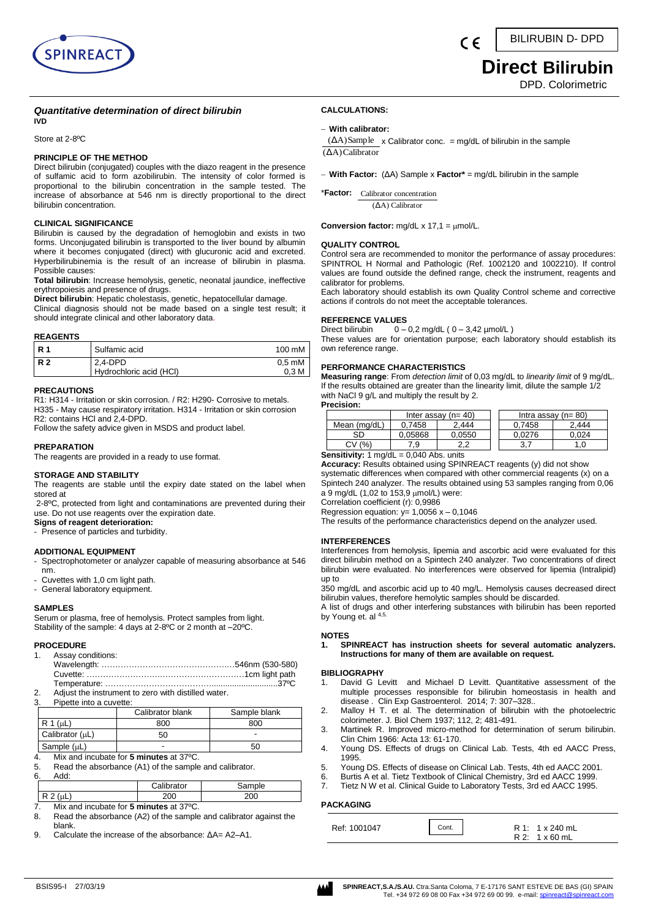

# **Direct Bilirubin**

DPD. Colorimetric

#### *Quantitative determination of direct bilirubin*

Store at 2-8ºC

**IVD**

#### **PRINCIPLE OF THE METHOD**

Direct bilirubin (conjugated) couples with the diazo reagent in the presence of sulfamic acid to form azobilirubin. The intensity of color formed is proportional to the bilirubin concentration in the sample tested. The increase of absorbance at 546 nm is directly proportional to the direct bilirubin concentration.

#### **CLINICAL SIGNIFICANCE**

Bilirubin is caused by the degradation of hemoglobin and exists in two forms. Unconjugated bilirubin is transported to the liver bound by albumin where it becomes conjugated (direct) with glucuronic acid and excreted. Hyperbilirubinemia is the result of an increase of bilirubin in plasma. Possible causes:

**Total bilirubin**: Increase hemolysis, genetic, neonatal jaundice, ineffective erythropoiesis and presence of drugs.

**Direct bilirubin**: Hepatic cholestasis, genetic, hepatocellular damage. Clinical diagnosis should not be made based on a single test result; it should integrate clinical and other laboratory data.

#### **REAGENTS**

| IR. | Sulfamic acid           | 100 mM           |
|-----|-------------------------|------------------|
| R 2 | 2.4-DPD                 | $0.5 \text{ mM}$ |
|     | Hydrochloric acid (HCI) | 0.3 M            |

#### **PRECAUTIONS**

R1: H314 - Irritation or skin corrosion. / R2: H290- Corrosive to metals. H335 - May cause respiratory irritation. H314 - Irritation or skin corrosion R2: contains HCl and 2,4-DPD.

Follow the safety advice given in MSDS and product label.

#### **PREPARATION**

The reagents are provided in a ready to use format.

#### **STORAGE AND STABILITY**

The reagents are stable until the expiry date stated on the label when stored at

2-8ºC, protected from light and contaminations are prevented during their use. Do not use reagents over the expiration date.

**Signs of reagent deterioration:** - Presence of particles and turbidity.

#### **ADDITIONAL EQUIPMENT**

- Spectrophotometer or analyzer capable of measuring absorbance at 546 nm.
- Cuvettes with 1,0 cm light path.
- General laboratory equipment.

#### **SAMPLES**

Serum or plasma, free of hemolysis. Protect samples from light. Stability of the sample: 4 days at 2-8ºC or 2 month at –20ºC.

# **PROCEDURE**<br>1. Assay co

Assay conditions:

| A direct the instrument to zero with distilled water |  |
|------------------------------------------------------|--|

- diust the instrument to :
- 3. Pipette into a cuvette:

|                  | Calibrator blank | Sample blank |
|------------------|------------------|--------------|
| R 1 ( $\mu$ L)   | 800              | 800          |
| Calibrator (uL)  | 50               |              |
| Sample $(\mu L)$ |                  | 50           |

4. Mix and incubate for **5 minutes** at 37ºC.

| 5. | Read the absorbance (A1) of the sample and calibrator. |
|----|--------------------------------------------------------|
|    | $A - A$                                                |

| 6. | чч.                 |            |                 |
|----|---------------------|------------|-----------------|
|    |                     | Calibrator | ำle             |
|    | D<br>.<br><u>ы.</u> | 200        | 20 <sub>C</sub> |

7. Mix and incubate for **5 minutes** at 37ºC.

- 8. Read the absorbance (A2) of the sample and calibrator against the blank.
- 9. Calculate the increase of the absorbance: ΔA= A2–A1.

# **CALCULATIONS:**

#### − **With calibrator:**

 $(AA)$ Calibrator  $($ A $)$ Sample  $\times$  Calibrator conc. = mg/dL of bilirubin in the sample

( F

− **With Factor:** (ΔA) Sample x **Factor\*** = mg/dL bilirubin in the sample

\***Factor:**  Calibrator concentration (ΔA) Calibrator

**Conversion factor:** mg/dL x 17,1 = µmol/L.

#### **QUALITY CONTROL**

Control sera are recommended to monitor the performance of assay procedures: SPINTROL H Normal and Pathologic (Ref. 1002120 and 1002210). If control values are found outside the defined range, check the instrument, reagents and calibrator for problems.

Each laboratory should establish its own Quality Control scheme and corrective actions if controls do not meet the acceptable tolerances.

### **REFERENCE VALUES**<br>Direct bilirubin 0-

 $0 - 0.2$  mg/dL (  $0 - 3.42$  µmol/L ) These values are for orientation purpose; each laboratory should establish its own reference range.

#### **PERFORMANCE CHARACTERISTICS**

**Measuring range**: From *detection limit* of 0,03 mg/dL to *linearity limit* of 9 mg/dL. If the results obtained are greater than the linearity limit, dilute the sample 1/2 with NaCl 9 g/L and multiply the result by 2.

| <b>Precision:</b> |  |
|-------------------|--|
|                   |  |
|                   |  |

|              | Inter assay $(n=40)$ |          |        | Intra assay $(n=80)$ |
|--------------|----------------------|----------|--------|----------------------|
| Mean (mg/dL) | 0.7458               | 2.444    | 0.7458 | 2.444                |
| SD           | 0.05868              | 0.0550   | 0.0276 | 0.024                |
| (%<br>CV     | ۰.9                  | ົ<br>ے.∠ | ◡.,    | .0                   |

**Sensitivity:** 1 mg/dL = 0,040 Abs. units

**Accuracy:** Results obtained using SPINREACT reagents (y) did not show systematic differences when compared with other commercial reagents (x) on a Spintech 240 analyzer. The results obtained using 53 samples ranging from 0,06 a 9 mg/dL (1,02 to 153,9 µmol/L) were:

Correlation coefficient (r): 0,9986

Regression equation:  $y= 1,0056 x - 0,1046$ 

The results of the performance characteristics depend on the analyzer used.

#### **INTERFERENCES**

Interferences from hemolysis, lipemia and ascorbic acid were evaluated for this direct bilirubin method on a Spintech 240 analyzer. Two concentrations of direct bilirubin were evaluated. No interferences were observed for lipemia (Intralipid) up to

350 mg/dL and ascorbic acid up to 40 mg/L. Hemolysis causes decreased direct bilirubin values, therefore hemolytic samples should be discarded.

A list of drugs and other interfering substances with bilirubin has been reported by Young et. al 4,5.

#### **NOTES**

**1. SPINREACT has instruction sheets for several automatic analyzers. Instructions for many of them are available on request.**

#### **BIBLIOGRAPHY**

- 1. [David G Levitt](https://www.ncbi.nlm.nih.gov/pubmed/?term=Levitt%20DG%5BAuthor%5D&cauthor=true&cauthor_uid=25214800) and [Michael D Levitt.](https://www.ncbi.nlm.nih.gov/pubmed/?term=Levitt%20MD%5BAuthor%5D&cauthor=true&cauthor_uid=25214800) Quantitative assessment of the multiple processes responsible for bilirubin homeostasis in health and disease . [Clin Exp Gastroenterol.](https://www.ncbi.nlm.nih.gov/pmc/articles/PMC4159128/) 2014; 7: 307–328..
- 2. Malloy H T. et al. The determination of bilirubin with the photoelectric colorimeter. J. Biol Chem 1937; 112, 2; 481-491.
- 3. Martinek R. Improved micro-method for determination of serum bilirubin. Clin Chim 1966: Acta 13: 61-170.
- 4. Young DS. Effects of drugs on Clinical Lab. Tests, 4th ed AACC Press, 1995.
- 5. Young DS. Effects of disease on Clinical Lab. Tests, 4th ed AACC 2001.
- 6. Burtis A et al. Tietz Textbook of Clinical Chemistry, 3rd ed AACC 1999.
- 7. Tietz N W et al. Clinical Guide to Laboratory Tests, 3rd ed AACC 1995.

#### **PACKAGING**

Ref: 1001047 R 2: 1 x 60 mL  $R 1: 1 x 240 m1$ Cont.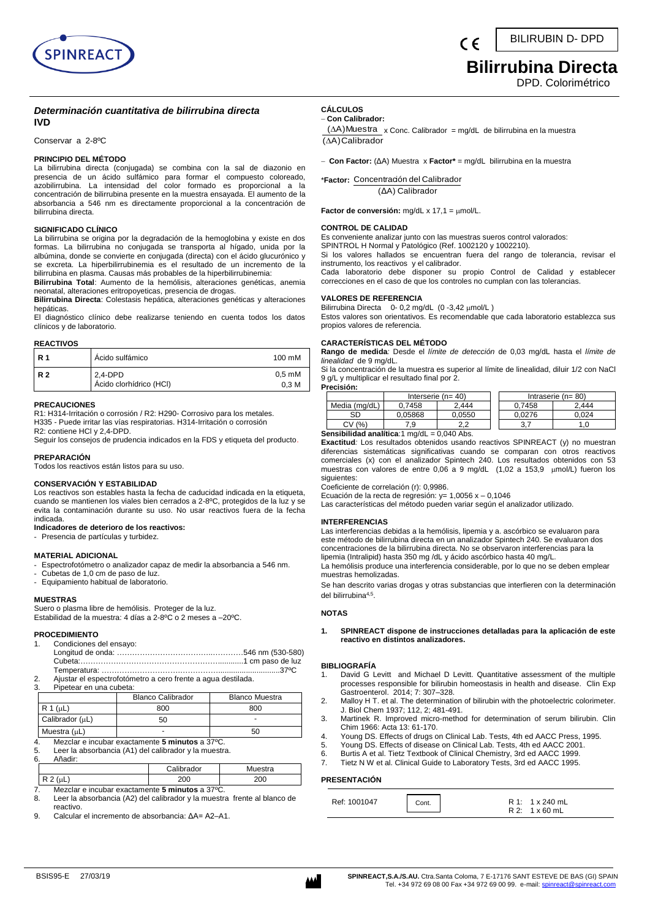

## **Bilirrubina Directa**

DPD. Colorimétrico

#### *Determinación cuantitativa de bilirrubina directa* **IVD**

Conservar a 2-8ºC

#### **PRINCIPIO DEL MÉTODO**

La bilirrubina directa (conjugada) se combina con la sal de diazonio en presencia de un ácido sulfámico para formar el compuesto coloreado, azobilirrubina. La intensidad del color formado es proporcional a la concentración de bilirrubina presente en la muestra ensayada. El aumento de la absorbancia a 546 nm es directamente proporcional a la concentración de bilirrubina directa.

#### **SIGNIFICADO CLÍNICO**

La bilirrubina se origina por la degradación de la hemoglobina y existe en dos formas. La bilirrubina no conjugada se transporta al hígado, unida por la albúmina, donde se convierte en conjugada (directa) con el ácido glucurónico y se excreta. La hiperbilirrubinemia es el resultado de un incremento de la bilirrubina en plasma. Causas más probables de la hiperbilirrubinemia:

**Bilirrubina Total**: Aumento de la hemólisis, alteraciones genéticas, anemia neonatal, alteraciones eritropoyeticas, presencia de drogas.

**Bilirrubina Directa**: Colestasis hepática, alteraciones genéticas y alteraciones hepáticas.

El diagnóstico clínico debe realizarse teniendo en cuenta todos los datos clínicos y de laboratorio.

#### **REACTIVOS**

| <b>R</b> 1 | Ácido sulfámico                    | 100 mM                               |
|------------|------------------------------------|--------------------------------------|
| <b>R2</b>  | 2.4-DPD<br>Ácido clorhídrico (HCI) | $0.5 \text{ mM}$<br>0.3 <sub>M</sub> |

#### **PRECAUCIONES**

R1: H314-Irritación o corrosión / R2: H290- Corrosivo para los metales. H335 - Puede irritar las vías respiratorias. H314-Irritación o corrosión R2: contiene HCl y 2,4-DPD.

Seguir los consejos de prudencia indicados en la FDS y etiqueta del producto.

#### **PREPARACIÓN**

Todos los reactivos están listos para su uso.

#### **CONSERVACIÓN Y ESTABILIDAD**

Los reactivos son estables hasta la fecha de caducidad indicada en la etiqueta, cuando se mantienen los viales bien cerrados a 2-8ºC, protegidos de la luz y se evita la contaminación durante su uso. No usar reactivos fuera de la fecha indicada.

#### **Indicadores de deterioro de los reactivos:**

- Presencia de partículas y turbidez.

#### **MATERIAL ADICIONAL**

- Espectrofotómetro o analizador capaz de medir la absorbancia a 546 nm.

- Cubetas de 1,0 cm de paso de luz.
- Equipamiento habitual de laboratorio.

#### **MUESTRAS**

Suero o plasma libre de hemólisis. Proteger de la luz. Estabilidad de la muestra: 4 días a 2-8ºC o 2 meses a –20ºC.

#### **PROCEDIMIENTO**

| 1. Condiciones del ensayo:                                                                                                                                                                                                       |  |
|----------------------------------------------------------------------------------------------------------------------------------------------------------------------------------------------------------------------------------|--|
|                                                                                                                                                                                                                                  |  |
|                                                                                                                                                                                                                                  |  |
|                                                                                                                                                                                                                                  |  |
| $\cdots$ . The contract of the contract of the contract of the contract of the contract of the contract of the contract of the contract of the contract of the contract of the contract of the contract of the contract of the c |  |

2. Ajustar el espectrofotómetro a cero frente a agua destilada.

| Pipetear en una cubeta:<br>ა. |                          |                       |  |  |  |
|-------------------------------|--------------------------|-----------------------|--|--|--|
|                               | <b>Blanco Calibrador</b> | <b>Blanco Muestra</b> |  |  |  |
| $R 1 (\mu L)$                 | 800                      | 800                   |  |  |  |
| Calibrador (µL)               | 50                       |                       |  |  |  |
| Muestra $(\mu L)$             |                          | 50                    |  |  |  |

- 4. Mezclar e incubar exactamente **5 minutos** a 37ºC.
- 5. Leer la absorbancia (A1) del calibrador y la muestra.
- 6. Añadir:
- Calibrador Muestra R 2 (µL) 200 200 200
- 7. Mezclar e incubar exactamente **5 minutos** a 37ºC.
- Leer la absorbancia (A2) del calibrador y la muestra frente al blanco de reactivo.
- 9. Calcular el incremento de absorbancia: ΔA= A2–A1.

#### **CÁLCULOS**  − **Con Calibrador:**

(∆A)Calibrador  $(∆A)$ Muestra x Conc. Calibrador = mg/dL de bilirrubina en la muestra

− **Con Factor:** (ΔA) Muestra x **Factor\*** = mg/dL bilirrubina en la muestra

\***Factor:**  Concentración del Calibrador

(ΔA) Calibrador

Factor de conversión: mg/dL x 17,1 = µmol/L.

#### **CONTROL DE CALIDAD**

Es conveniente analizar junto con las muestras sueros control valorados:

SPINTROL H Normal y Patológico (Ref. 1002120 y 1002210).

Si los valores hallados se encuentran fuera del rango de tolerancia, revisar el instrumento, los reactivos y el calibrador.

Cada laboratorio debe disponer su propio Control de Calidad y establecer correcciones en el caso de que los controles no cumplan con las tolerancias.

#### **VALORES DE REFERENCIA**

Bilirrubina Directa 0- 0,2 mg/dL (0-3,42 µmol/L) Estos valores son orientativos. Es recomendable que cada laboratorio establezca sus propios valores de referencia.

#### **CARACTERÍSTICAS DEL MÉTODO**

**Rango de medida***:* Desde el *límite de detección* de 0,03 mg/dL hasta el *límite de linealidad* de 9 mg/dL.

Si la concentración de la muestra es superior al límite de linealidad, diluir 1/2 con NaCl 9 g/L y multiplicar el resultado final por 2. **Precisión:**

|               | Interserie $(n=40)$ |        |        | Intraserie ( $n = 80$ ) |
|---------------|---------------------|--------|--------|-------------------------|
| Media (mg/dL) | 0.7458              | 2.444  | 0.7458 | 2.444                   |
| SD            | 0.05868             | 0.0550 | 0.0276 | 0.024                   |
| (% )<br>СV    | 7.9                 | າາ     | J.     |                         |

**Sensibilidad analítica**:1 mg/dL = 0,040 Abs.

**Exactitud***:* Los resultados obtenidos usando reactivos SPINREACT (y) no muestran diferencias sistemáticas significativas cuando se comparan con otros reactivos comerciales (x) con el analizador Spintech 240. Los resultados obtenidos con 53 muestras con valores de entre 0,06 a 9 mg/dL (1,02 a 153,9 µmol/L) fueron los siguientes:

Coeficiente de correlación (r): 0,9986.

Ecuación de la recta de regresión: y=  $1,0056$  x -  $0,1046$ 

Las características del método pueden variar según el analizador utilizado.

#### **INTERFERENCIAS**

Las interferencias debidas a la hemólisis, lipemia y a. ascórbico se evaluaron para este método de bilirrubina directa en un analizador Spintech 240. Se evaluaron dos concentraciones de la bilirrubina directa. No se observaron interferencias para la lipemia (Intralipid) hasta 350 mg /dL y ácido ascórbico hasta 40 mg/L.

La hemólisis produce una interferencia considerable, por lo que no se deben emplear muestras hemolizadas.

Se han descrito varias drogas y otras substancias que interfieren con la determinación del bilirrubina4,5 .

#### **NOTAS**

**1. SPINREACT dispone de instrucciones detalladas para la aplicación de este reactivo en distintos analizadores.** 

#### **BIBLIOGRAFÍA**

- 1. David G Levitt and Michael D Levitt. Quantitative assessment of the multiple processes responsible for bilirubin homeostasis in health and disease. Clin Exp Gastroenterol. 2014; 7: 307–328.
- 2. Malloy H T. et al. The determination of bilirubin with the photoelectric colorimeter. J. Biol Chem 1937; 112, 2; 481-491.
- 3. Martinek R. Improved micro-method for determination of serum bilirubin. Clin Chim 1966: Acta 13: 61-170.
- 4. Young DS. Effects of drugs on Clinical Lab. Tests, 4th ed AACC Press, 1995.
- Young DS. Effects of disease on Clinical Lab. Tests, 4th ed AACC 2001.
- 6. Burtis A et al. Tietz Textbook of Clinical Chemistry, 3rd ed AACC 1999.
- 7. Tietz N W et al. Clinical Guide to Laboratory Tests, 3rd ed AACC 1995.

#### **PRESENTACIÓN**

| Ref: 1001047 | Cont. | R 1: 1 x 240 mL |
|--------------|-------|-----------------|
|              |       | R 2: 1 x 60 mL  |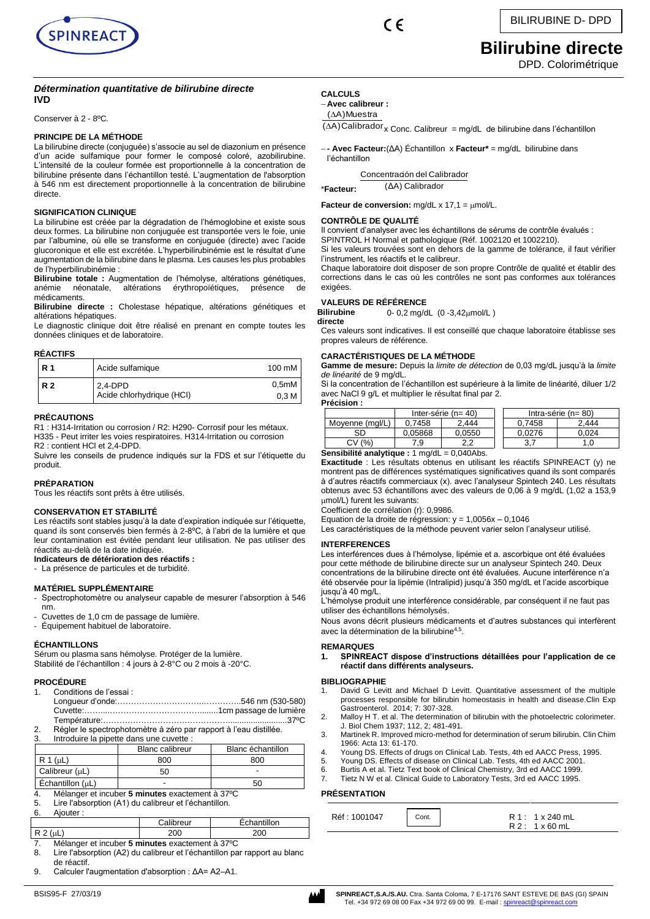

 $\epsilon$ 

# **Bilirubine directe**

DPD. Colorimétrique

#### *Détermination quantitative de bilirubine directe* **IVD**

Conserver à 2 - 8ºC.

#### **PRINCIPE DE LA MÉTHODE**

La bilirubine directe (conjuguée) s'associe au sel de diazonium en présence d'un acide sulfamique pour former le composé coloré, azobilirubine. L'intensité de la couleur formée est proportionnelle à la concentration de bilirubine présente dans l'échantillon testé. L'augmentation de l'absorption à 546 nm est directement proportionnelle à la concentration de bilirubine directe.

#### **SIGNIFICATION CLINIQUE**

La bilirubine est créée par la dégradation de l'hémoglobine et existe sous deux formes. La bilirubine non conjuguée est transportée vers le foie, unie par l'albumine, où elle se transforme en conjuguée (directe) avec l'acide glucoronique et elle est excrétée. L'hyperbilirubinémie est le résultat d'une augmentation de la bilirubine dans le plasma. Les causes les plus probables de l'hyperbilirubinémie :

**Bilirubine totale :** Augmentation de l'hémolyse, altérations génétiques, érythropoïétiques, présence de médicaments.

**Bilirubine directe :** Cholestase hépatique, altérations génétiques et altérations hépatiques.

Le diagnostic clinique doit être réalisé en prenant en compte toutes les données cliniques et de laboratoire.

#### **RÉACTIFS**

| R 1            | Acide sulfamique                     | 100 mM                    |
|----------------|--------------------------------------|---------------------------|
| R <sub>2</sub> | 2.4-DPD<br>Acide chlorhydrique (HCI) | 0,5mM<br>0.3 <sub>M</sub> |

#### **PRÉCAUTIONS**

R1 : H314-Irritation ou corrosion / R2: H290- Corrosif pour les métaux. H335 - Peut irriter les voies respiratoires. H314-Irritation ou corrosion R2 : contient HCl et 2,4-DPD.

Suivre les conseils de prudence indiqués sur la FDS et sur l'étiquette du produit.

#### **PRÉPARATION**

Tous les réactifs sont prêts à être utilisés.

#### **CONSERVATION ET STABILITÉ**

Les réactifs sont stables jusqu'à la date d'expiration indiquée sur l'étiquette, quand ils sont conservés bien fermés à 2-8ºC, à l'abri de la lumière et que leur contamination est évitée pendant leur utilisation. Ne pas utiliser des réactifs au-delà de la date indiquée.

**Indicateurs de détérioration des réactifs :**

La présence de particules et de turbidité.

#### **MATÉRIEL SUPPLÉMENTAIRE**

- Spectrophotomètre ou analyseur capable de mesurer l'absorption à 546 nm.
- Cuvettes de 1,0 cm de passage de lumière.
- Équipement habituel de laboratoire.

#### **ÉCHANTILLONS**

Sérum ou plasma sans hémolyse. Protéger de la lumière. Stabilité de l'échantillon : 4 jours à 2-8°C ou 2 mois à -20°C.

#### **PROCÉDURE**

|    | 1. Conditions de l'essai :                                        |  |
|----|-------------------------------------------------------------------|--|
|    |                                                                   |  |
|    |                                                                   |  |
|    |                                                                   |  |
| 2. | Régler le spectrophotomètre à zéro par rapport à l'eau distillée. |  |

Introduire la pipette dans une cuvette

|                    | <b>Blanc calibreur</b> | Blanc échantillon |
|--------------------|------------------------|-------------------|
| R 1 (uL)           | 800                    | 800               |
| Calibreur (uL)     | 50                     |                   |
| Echantillon $(uL)$ |                        | 50                |

4. Mélanger et incuber **5 minutes** exactement à 37ºC Lire l'absorption (A1) du calibreur et l'échantillon.

6. Ajouter :

|                              |  |   | Calibreur |  | ntillon                       |
|------------------------------|--|---|-----------|--|-------------------------------|
| $\sim$ 4<br><u>ыш</u>        |  |   | 200       |  | 200                           |
| <br>$\overline{\phantom{a}}$ |  | - |           |  | $\cdot$ $\cdot$ $\sim$ $\sim$ |

7. Mélanger et incuber **5 minutes** exactement à 37ºC

- 8. Lire l'absorption (A2) du calibreur et l'échantillon par rapport au blanc de réactif.
- 9. Calculer l'augmentation d'absorption : ΔA= A2–A1.

#### **CALCULS**  − **Avec calibreur :**

#### (∆A)Muestra

 $( \Delta A)$ Calibrador x Conc. Calibreur = mg/dL de bilirubine dans l'échantillon

− **- Avec Facteur:**(ΔA) Échantillon x **Facteur\*** = mg/dL bilirubine dans l'échantillon

Concentración del Calibrador

\***Facteur:**  (ΔA) Calibrador

**Facteur de conversion:**  $mg/dL \times 17,1 = \mu mol/L$ .

#### **CONTRÔLE DE QUALITÉ**

Il convient d'analyser avec les échantillons de sérums de contrôle évalués :

SPINTROL H Normal et pathologique (Réf. 1002120 et 1002210).

Si les valeurs trouvées sont en dehors de la gamme de tolérance, il faut vérifier l'instrument, les réactifs et le calibreur.

Chaque laboratoire doit disposer de son propre Contrôle de qualité et établir des corrections dans le cas où les contrôles ne sont pas conformes aux tolérances exigées.

#### **VALEURS DE RÉFÉRENCE**

**Bilirubine**  0- 0,2 mg/dL (0 -3,42mol/L )

**directe**

Ces valeurs sont indicatives. Il est conseillé que chaque laboratoire établisse ses propres valeurs de référence.

#### **CARACTÉRISTIQUES DE LA MÉTHODE**

**Gamme de mesure:** Depuis la *limite de détection* de 0,03 mg/dL jusqu'à la *limite de linéarité* de 9 mg/dL.

Si la concentration de l'échantillon est supérieure à la limite de linéarité, diluer 1/2 avec NaCl 9 g/L et multiplier le résultat final par 2. **Précision :**

| .               |                          |                                       |                          |       |  |
|-----------------|--------------------------|---------------------------------------|--------------------------|-------|--|
|                 | Inter-série ( $n = 40$ ) |                                       | Intra-série ( $n = 80$ ) |       |  |
| Movenne (mal/L) | 0.7458                   | 2.444                                 | 0.7458                   | 2.444 |  |
| SD              | 0.05868                  | 0.0550                                | 0.0276                   | 0.024 |  |
| (9/0)<br>СV     | 9.'                      | ົ                                     |                          |       |  |
| .<br>$\sim$ .   | $\cdots$                 | $\begin{array}{c} \hline \end{array}$ |                          |       |  |

#### **Sensibilité analytique :** 1 mg/dL = 0,040Abs.

**Exactitude** : Les résultats obtenus en utilisant les réactifs SPINREACT (y) ne montrent pas de différences systématiques significatives quand ils sont comparés à d'autres réactifs commerciaux (x). avec l'analyseur Spintech 240. Les résultats obtenus avec 53 échantillons avec des valeurs de 0,06 à 9 mg/dL (1,02 a 153,9 mol/L) furent les suivants:

Coefficient de corrélation (r): 0,9986.

Equation de la droite de régression:  $y = 1,0056x - 0,1046$ 

Les caractéristiques de la méthode peuvent varier selon l'analyseur utilisé.

#### **INTERFERENCES**

Les interférences dues à l'hémolyse, lipémie et a. ascorbique ont été évaluées pour cette méthode de bilirubine directe sur un analyseur Spintech 240. Deux concentrations de la bilirubine directe ont été évaluées. Aucune interférence n'a été observée pour la lipémie (Intralipid) jusqu'à 350 mg/dL et l'acide ascorbique jusqu'à 40 mg/L.

L'hémolyse produit une interférence considérable, par conséquent il ne faut pas utiliser des échantillons hémolysés.

Nous avons décrit plusieurs médicaments et d'autres substances qui interfèrent avec la détermination de la bilirubine<sup>4,5</sup>.

#### **REMARQUES**

**1. SPINREACT dispose d'instructions détaillées pour l'application de ce réactif dans différents analyseurs.** 

#### **BIBLIOGRAPHIE**

- 1. David G Levitt and Michael D Levitt. Quantitative assessment of the multiple processes responsible for bilirubin homeostasis in health and disease.Clin Exp Gastroenterol. 2014; 7: 307-328.
- 2. Malloy H T. et al. The determination of bilirubin with the photoelectric colorimeter. J. Biol Chem 1937; 112, 2; 481-491.
- 3. Martinek R. Improved micro-method for determination of serum bilirubin. Clin Chim 1966: Acta 13: 61-170.
- 4. Young DS. Effects of drugs on Clinical Lab. Tests, 4th ed AACC Press, 1995.
- 5. Young DS. Effects of disease on Clinical Lab. Tests, 4th ed AACC 2001.
- 6. Burtis A et al. Tietz Text book of Clinical Chemistry, 3rd ed AACC 1999.
- 7. Tietz N W et al. Clinical Guide to Laboratory Tests, 3rd ed AACC 1995.

#### **PRÉSENTATION**

| Réf : 1001047 | Cont. | R 1: 1 x 240 mL      |
|---------------|-------|----------------------|
|               |       | $R2: 1 \times 60$ mL |